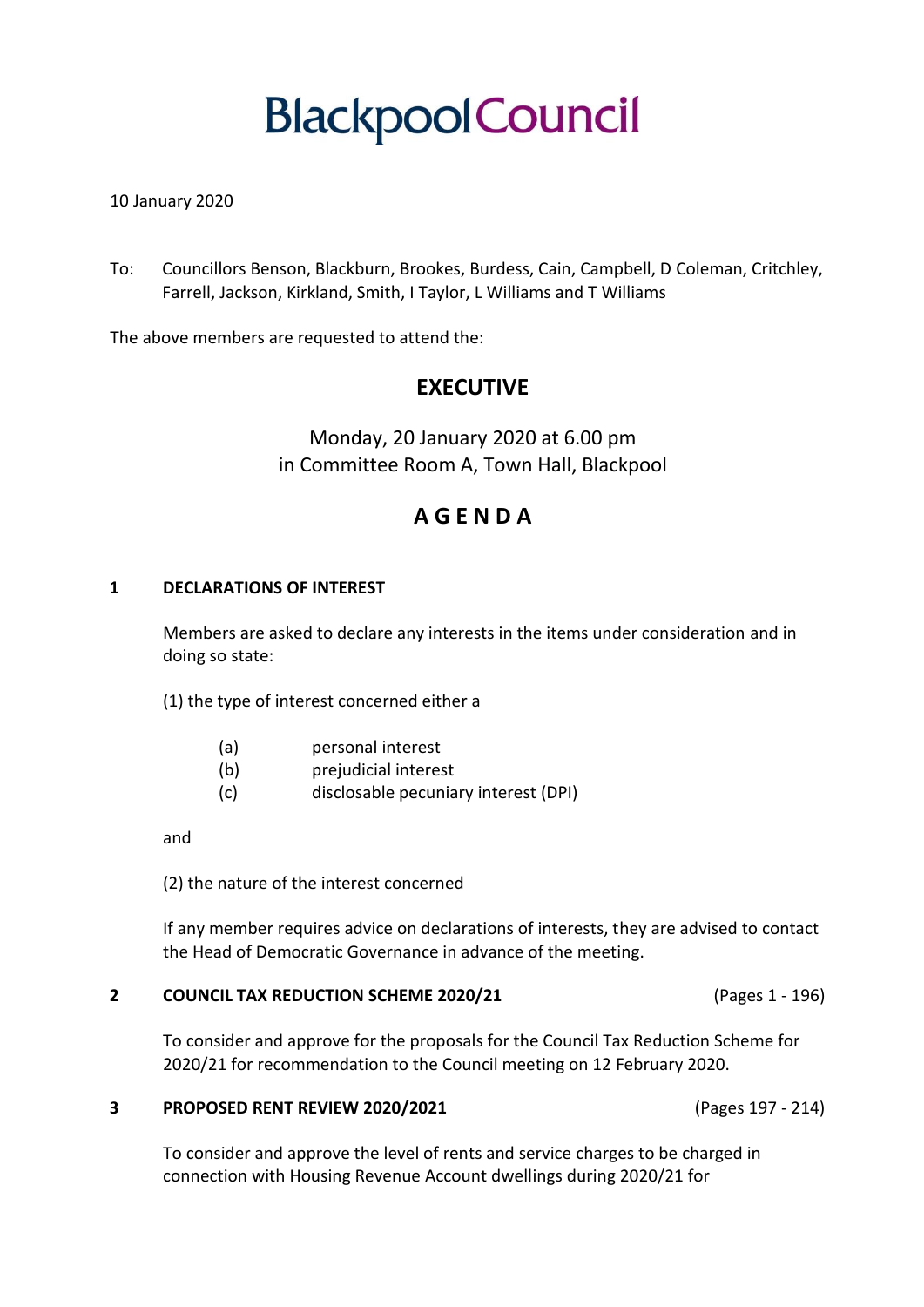# **BlackpoolCouncil**

# 10 January 2020

To: Councillors Benson, Blackburn, Brookes, Burdess, Cain, Campbell, D Coleman, Critchley, Farrell, Jackson, Kirkland, Smith, I Taylor, L Williams and T Williams

The above members are requested to attend the:

# **EXECUTIVE**

Monday, 20 January 2020 at 6.00 pm in Committee Room A, Town Hall, Blackpool

# **A G E N D A**

## **1 DECLARATIONS OF INTEREST**

Members are asked to declare any interests in the items under consideration and in doing so state:

(1) the type of interest concerned either a

- (a) personal interest
- (b) prejudicial interest
- (c) disclosable pecuniary interest (DPI)

and

(2) the nature of the interest concerned

If any member requires advice on declarations of interests, they are advised to contact the Head of Democratic Governance in advance of the meeting.

#### **2 COUNCIL TAX REDUCTION SCHEME 2020/21** (Pages 1 - 196)

To consider and approve for the proposals for the Council Tax Reduction Scheme for 2020/21 for recommendation to the Council meeting on 12 February 2020.

## **3 PROPOSED RENT REVIEW 2020/2021** (Pages 197 - 214)

To consider and approve the level of rents and service charges to be charged in connection with Housing Revenue Account dwellings during 2020/21 for